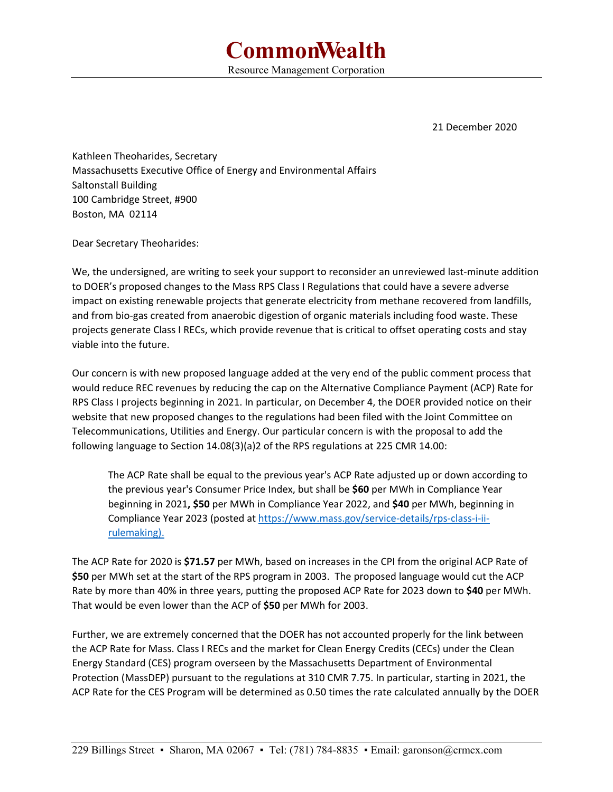21 December 2020

Kathleen Theoharides, Secretary Massachusetts Executive Office of Energy and Environmental Affairs Saltonstall Building 100 Cambridge Street, #900 Boston, MA 02114

Dear Secretary Theoharides:

We, the undersigned, are writing to seek your support to reconsider an unreviewed last-minute addition to DOER's proposed changes to the Mass RPS Class I Regulations that could have a severe adverse impact on existing renewable projects that generate electricity from methane recovered from landfills, and from bio‐gas created from anaerobic digestion of organic materials including food waste. These projects generate Class I RECs, which provide revenue that is critical to offset operating costs and stay viable into the future.

Our concern is with new proposed language added at the very end of the public comment process that would reduce REC revenues by reducing the cap on the Alternative Compliance Payment (ACP) Rate for RPS Class I projects beginning in 2021. In particular, on December 4, the DOER provided notice on their website that new proposed changes to the regulations had been filed with the Joint Committee on Telecommunications, Utilities and Energy. Our particular concern is with the proposal to add the following language to Section 14.08(3)(a)2 of the RPS regulations at 225 CMR 14.00:

The ACP Rate shall be equal to the previous year's ACP Rate adjusted up or down according to the previous year's Consumer Price Index, but shall be **\$60** per MWh in Compliance Year beginning in 2021**, \$50** per MWh in Compliance Year 2022, and **\$40** per MWh, beginning in Compliance Year 2023 (posted at https://www.mass.gov/service-details/rps-class-i-iirulemaking).

The ACP Rate for 2020 is **\$71.57** per MWh, based on increases in the CPI from the original ACP Rate of **\$50** per MWh set at the start of the RPS program in 2003. The proposed language would cut the ACP Rate by more than 40% in three years, putting the proposed ACP Rate for 2023 down to **\$40** per MWh. That would be even lower than the ACP of **\$50** per MWh for 2003.

Further, we are extremely concerned that the DOER has not accounted properly for the link between the ACP Rate for Mass. Class I RECs and the market for Clean Energy Credits (CECs) under the Clean Energy Standard (CES) program overseen by the Massachusetts Department of Environmental Protection (MassDEP) pursuant to the regulations at 310 CMR 7.75. In particular, starting in 2021, the ACP Rate for the CES Program will be determined as 0.50 times the rate calculated annually by the DOER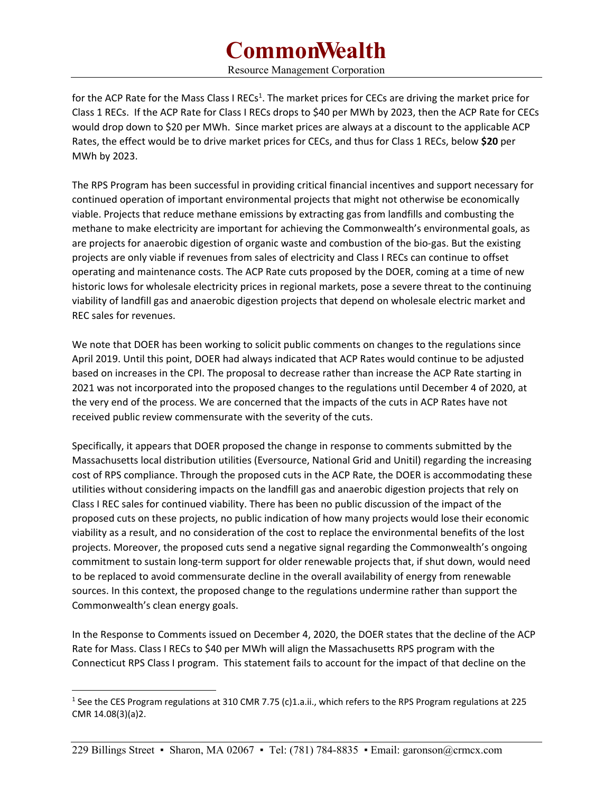# **CommonWealth**

Resource Management Corporation

for the ACP Rate for the Mass Class I RECs<sup>1</sup>. The market prices for CECs are driving the market price for Class 1 RECs. If the ACP Rate for Class I RECs drops to \$40 per MWh by 2023, then the ACP Rate for CECs would drop down to \$20 per MWh. Since market prices are always at a discount to the applicable ACP Rates, the effect would be to drive market prices for CECs, and thus for Class 1 RECs, below **\$20** per MWh by 2023.

The RPS Program has been successful in providing critical financial incentives and support necessary for continued operation of important environmental projects that might not otherwise be economically viable. Projects that reduce methane emissions by extracting gas from landfills and combusting the methane to make electricity are important for achieving the Commonwealth's environmental goals, as are projects for anaerobic digestion of organic waste and combustion of the bio‐gas. But the existing projects are only viable if revenues from sales of electricity and Class I RECs can continue to offset operating and maintenance costs. The ACP Rate cuts proposed by the DOER, coming at a time of new historic lows for wholesale electricity prices in regional markets, pose a severe threat to the continuing viability of landfill gas and anaerobic digestion projects that depend on wholesale electric market and REC sales for revenues.

We note that DOER has been working to solicit public comments on changes to the regulations since April 2019. Until this point, DOER had always indicated that ACP Rates would continue to be adjusted based on increases in the CPI. The proposal to decrease rather than increase the ACP Rate starting in 2021 was not incorporated into the proposed changes to the regulations until December 4 of 2020, at the very end of the process. We are concerned that the impacts of the cuts in ACP Rates have not received public review commensurate with the severity of the cuts.

Specifically, it appears that DOER proposed the change in response to comments submitted by the Massachusetts local distribution utilities (Eversource, National Grid and Unitil) regarding the increasing cost of RPS compliance. Through the proposed cuts in the ACP Rate, the DOER is accommodating these utilities without considering impacts on the landfill gas and anaerobic digestion projects that rely on Class I REC sales for continued viability. There has been no public discussion of the impact of the proposed cuts on these projects, no public indication of how many projects would lose their economic viability as a result, and no consideration of the cost to replace the environmental benefits of the lost projects. Moreover, the proposed cuts send a negative signal regarding the Commonwealth's ongoing commitment to sustain long‐term support for older renewable projects that, if shut down, would need to be replaced to avoid commensurate decline in the overall availability of energy from renewable sources. In this context, the proposed change to the regulations undermine rather than support the Commonwealth's clean energy goals.

In the Response to Comments issued on December 4, 2020, the DOER states that the decline of the ACP Rate for Mass. Class I RECs to \$40 per MWh will align the Massachusetts RPS program with the Connecticut RPS Class I program. This statement fails to account for the impact of that decline on the

<sup>&</sup>lt;sup>1</sup> See the CES Program regulations at 310 CMR 7.75 (c)1.a.ii., which refers to the RPS Program regulations at 225 CMR 14.08(3)(a)2.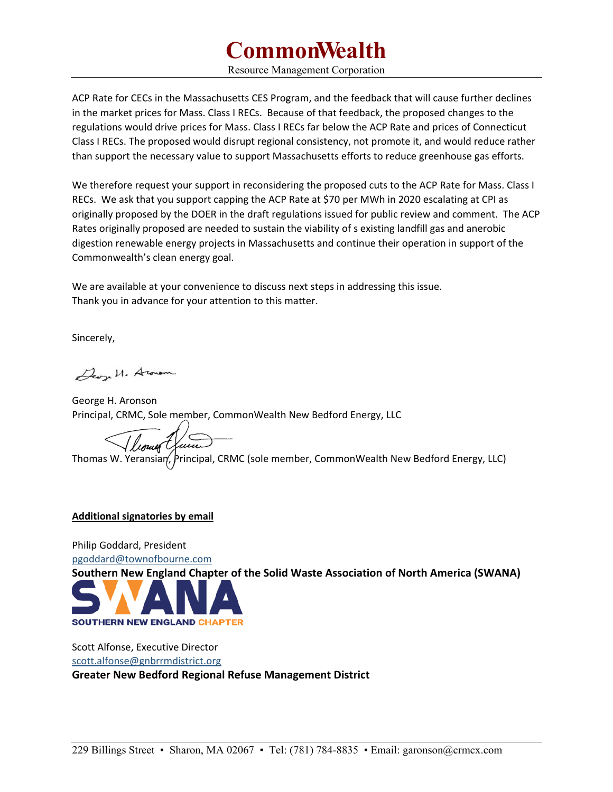# **CommonWealth**

Resource Management Corporation

ACP Rate for CECs in the Massachusetts CES Program, and the feedback that will cause further declines in the market prices for Mass. Class I RECs. Because of that feedback, the proposed changes to the regulations would drive prices for Mass. Class I RECs far below the ACP Rate and prices of Connecticut Class I RECs. The proposed would disrupt regional consistency, not promote it, and would reduce rather than support the necessary value to support Massachusetts efforts to reduce greenhouse gas efforts.

We therefore request your support in reconsidering the proposed cuts to the ACP Rate for Mass. Class I RECs. We ask that you support capping the ACP Rate at \$70 per MWh in 2020 escalating at CPI as originally proposed by the DOER in the draft regulations issued for public review and comment. The ACP Rates originally proposed are needed to sustain the viability of s existing landfill gas and anerobic digestion renewable energy projects in Massachusetts and continue their operation in support of the Commonwealth's clean energy goal.

We are available at your convenience to discuss next steps in addressing this issue. Thank you in advance for your attention to this matter.

Sincerely,

Deon U. Aronom

George H. Aronson Principal, CRMC, Sole member, CommonWealth New Bedford Energy, LLC

Thomas W. Yeransian, Principal, CRMC (sole member, CommonWealth New Bedford Energy, LLC)

### **Additional signatories by email**

Philip Goddard, President pgoddard@townofbourne.com **Southern New England Chapter of the Solid Waste Association of North America (SWANA)** 



Scott Alfonse, Executive Director scott.alfonse@gnbrrmdistrict.org

**Greater New Bedford Regional Refuse Management District**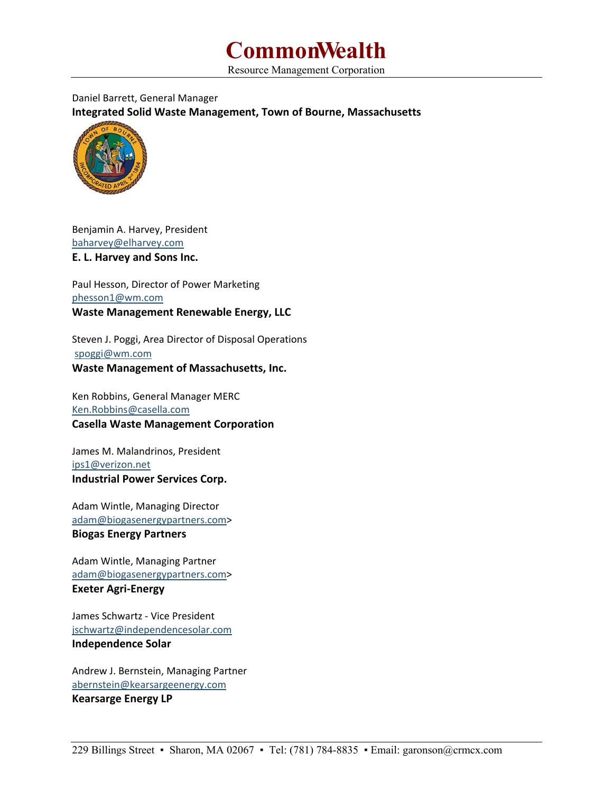

Resource Management Corporation

### Daniel Barrett, General Manager **Integrated Solid Waste Management, Town of Bourne, Massachusetts**



Benjamin A. Harvey, President baharvey@elharvey.com **E. L. Harvey and Sons Inc.** 

Paul Hesson, Director of Power Marketing phesson1@wm.com **Waste Management Renewable Energy, LLC** 

Steven J. Poggi, Area Director of Disposal Operations spoggi@wm.com **Waste Management of Massachusetts, Inc.** 

Ken Robbins, General Manager MERC Ken.Robbins@casella.com **Casella Waste Management Corporation** 

James M. Malandrinos, President ips1@verizon.net **Industrial Power Services Corp.** 

Adam Wintle, Managing Director adam@biogasenergypartners.com> **Biogas Energy Partners** 

Adam Wintle, Managing Partner adam@biogasenergypartners.com> **Exeter Agri‐Energy** 

James Schwartz ‐ Vice President jschwartz@independencesolar.com **Independence Solar** 

Andrew J. Bernstein, Managing Partner abernstein@kearsargeenergy.com **Kearsarge Energy LP**